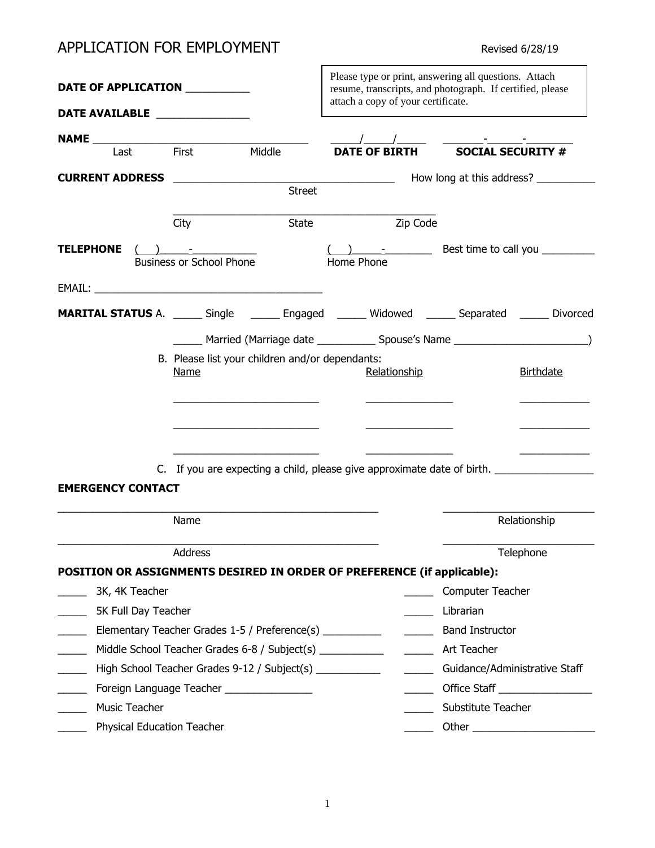# APPLICATION FOR EMPLOYMENT **Revised 6/28/19** Revised 6/28/19

|                                                                                                 |                                 |                                                 |            | Please type or print, answering all questions. Attach<br>resume, transcripts, and photograph. If certified, please<br>attach a copy of your certificate. |                                                                                                                                                                                                                                                                                                                                                                                                                                                                                                               |                                                  |  |  |
|-------------------------------------------------------------------------------------------------|---------------------------------|-------------------------------------------------|------------|----------------------------------------------------------------------------------------------------------------------------------------------------------|---------------------------------------------------------------------------------------------------------------------------------------------------------------------------------------------------------------------------------------------------------------------------------------------------------------------------------------------------------------------------------------------------------------------------------------------------------------------------------------------------------------|--------------------------------------------------|--|--|
| DATE AVAILABLE _______________                                                                  |                                 |                                                 |            |                                                                                                                                                          |                                                                                                                                                                                                                                                                                                                                                                                                                                                                                                               |                                                  |  |  |
|                                                                                                 |                                 |                                                 |            |                                                                                                                                                          |                                                                                                                                                                                                                                                                                                                                                                                                                                                                                                               |                                                  |  |  |
| Last                                                                                            | First                           | Middle                                          |            | <b>DATE OF BIRTH</b>                                                                                                                                     | $\begin{array}{c}\n\overline{\phantom{1}}\phantom{1}\phantom{1}50 \text{CIAL} \text{ } {\bf \overline{5}}\text{CURL} \text{ } {\bf \overline{5}}\text{ } {\bf \overline{6}}\text{ } {\bf \overline{7}}\text{ } {\bf \overline{7}}\text{ } {\bf \overline{8}}\text{ } {\bf \overline{9}}\text{ } {\bf \overline{1}}\text{ } {\bf \overline{2}}\text{ } {\bf \overline{3}}\text{ } {\bf \overline{4}}\text{ } {\bf \overline{5}}\text{ } {\bf \overline{6}}\text{ } {\bf \overline{2}}\text{ } {\bf \overline{$ |                                                  |  |  |
|                                                                                                 |                                 |                                                 |            |                                                                                                                                                          |                                                                                                                                                                                                                                                                                                                                                                                                                                                                                                               |                                                  |  |  |
|                                                                                                 |                                 | Street                                          |            |                                                                                                                                                          |                                                                                                                                                                                                                                                                                                                                                                                                                                                                                                               |                                                  |  |  |
|                                                                                                 | City                            | State                                           |            | Zip Code                                                                                                                                                 |                                                                                                                                                                                                                                                                                                                                                                                                                                                                                                               |                                                  |  |  |
| <b>TELEPHONE</b>                                                                                | <b>Business or School Phone</b> |                                                 | Home Phone |                                                                                                                                                          | $\left(\begin{array}{ccc}\n\end{array}\right)$ - $\begin{array}{ccc}\n\end{array}$ Best time to call you _________                                                                                                                                                                                                                                                                                                                                                                                            |                                                  |  |  |
|                                                                                                 |                                 |                                                 |            |                                                                                                                                                          |                                                                                                                                                                                                                                                                                                                                                                                                                                                                                                               |                                                  |  |  |
| MARITAL STATUS A. ______ Single _______ Engaged ______ Widowed ______ Separated ______ Divorced |                                 |                                                 |            |                                                                                                                                                          |                                                                                                                                                                                                                                                                                                                                                                                                                                                                                                               |                                                  |  |  |
|                                                                                                 |                                 |                                                 |            |                                                                                                                                                          |                                                                                                                                                                                                                                                                                                                                                                                                                                                                                                               |                                                  |  |  |
|                                                                                                 | <b>Name</b>                     | B. Please list your children and/or dependants: |            | Relationship                                                                                                                                             |                                                                                                                                                                                                                                                                                                                                                                                                                                                                                                               | <b>Birthdate</b>                                 |  |  |
| <b>EMERGENCY CONTACT</b>                                                                        |                                 |                                                 |            |                                                                                                                                                          | C. If you are expecting a child, please give approximate date of birth.                                                                                                                                                                                                                                                                                                                                                                                                                                       |                                                  |  |  |
|                                                                                                 | Name                            |                                                 |            |                                                                                                                                                          |                                                                                                                                                                                                                                                                                                                                                                                                                                                                                                               | Relationship                                     |  |  |
| POSITION OR ASSIGNMENTS DESIRED IN ORDER OF PREFERENCE (if applicable):                         |                                 | <b>Address Address</b>                          |            |                                                                                                                                                          |                                                                                                                                                                                                                                                                                                                                                                                                                                                                                                               | Telephone                                        |  |  |
| 3K, 4K Teacher                                                                                  |                                 |                                                 |            |                                                                                                                                                          | Computer Teacher                                                                                                                                                                                                                                                                                                                                                                                                                                                                                              |                                                  |  |  |
| 5K Full Day Teacher                                                                             |                                 |                                                 |            | $\overline{\phantom{a}}$                                                                                                                                 | Librarian                                                                                                                                                                                                                                                                                                                                                                                                                                                                                                     |                                                  |  |  |
| Elementary Teacher Grades 1-5 / Preference(s) __________                                        |                                 |                                                 |            | $\frac{1}{2}$                                                                                                                                            | <b>Band Instructor</b>                                                                                                                                                                                                                                                                                                                                                                                                                                                                                        |                                                  |  |  |
| $\mathcal{L}_{\text{max}}$                                                                      |                                 |                                                 |            |                                                                                                                                                          |                                                                                                                                                                                                                                                                                                                                                                                                                                                                                                               |                                                  |  |  |
| High School Teacher Grades 9-12 / Subject(s) ____________                                       |                                 |                                                 |            | $\frac{1}{2}$                                                                                                                                            |                                                                                                                                                                                                                                                                                                                                                                                                                                                                                                               | Guidance/Administrative Staff                    |  |  |
| Foreign Language Teacher _________________                                                      |                                 |                                                 |            |                                                                                                                                                          |                                                                                                                                                                                                                                                                                                                                                                                                                                                                                                               | <u>________</u> Office Staff ___________________ |  |  |
| Music Teacher                                                                                   |                                 |                                                 |            |                                                                                                                                                          | Substitute Teacher                                                                                                                                                                                                                                                                                                                                                                                                                                                                                            |                                                  |  |  |
| Physical Education Teacher                                                                      |                                 |                                                 |            |                                                                                                                                                          |                                                                                                                                                                                                                                                                                                                                                                                                                                                                                                               |                                                  |  |  |

h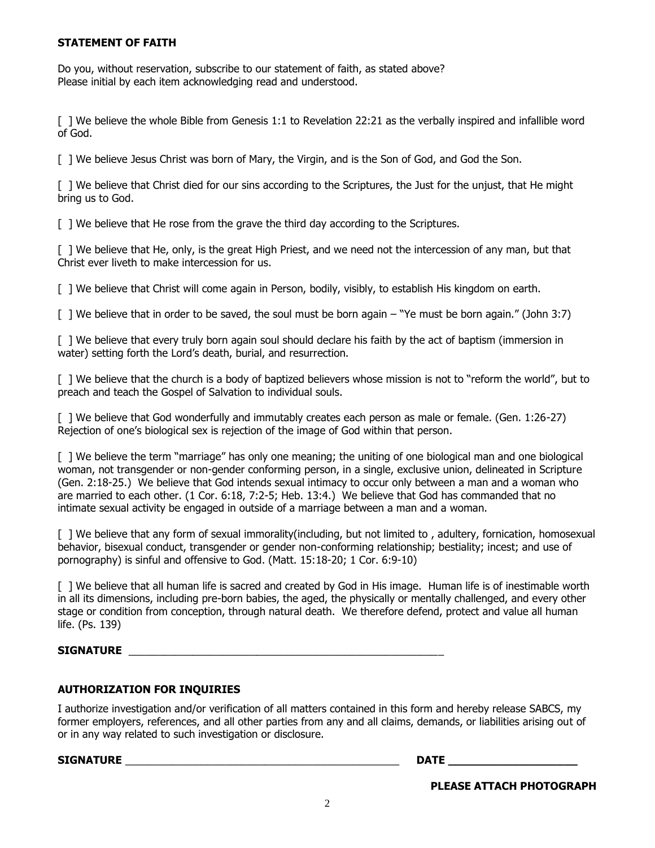#### **STATEMENT OF FAITH**

Do you, without reservation, subscribe to our statement of faith, as stated above? Please initial by each item acknowledging read and understood.

[ ] We believe the whole Bible from Genesis 1:1 to Revelation 22:21 as the verbally inspired and infallible word of God.

[ ] We believe Jesus Christ was born of Mary, the Virgin, and is the Son of God, and God the Son.

[ ] We believe that Christ died for our sins according to the Scriptures, the Just for the unjust, that He might bring us to God.

[ ] We believe that He rose from the grave the third day according to the Scriptures.

[ ] We believe that He, only, is the great High Priest, and we need not the intercession of any man, but that Christ ever liveth to make intercession for us.

[ ] We believe that Christ will come again in Person, bodily, visibly, to establish His kingdom on earth.

[ ] We believe that in order to be saved, the soul must be born again – "Ye must be born again." (John 3:7)

[ ] We believe that every truly born again soul should declare his faith by the act of baptism (immersion in water) setting forth the Lord's death, burial, and resurrection.

[ ] We believe that the church is a body of baptized believers whose mission is not to "reform the world", but to preach and teach the Gospel of Salvation to individual souls.

[ ] We believe that God wonderfully and immutably creates each person as male or female. (Gen. 1:26-27) Rejection of one's biological sex is rejection of the image of God within that person.

[ ] We believe the term "marriage" has only one meaning; the uniting of one biological man and one biological woman, not transgender or non-gender conforming person, in a single, exclusive union, delineated in Scripture (Gen. 2:18-25.) We believe that God intends sexual intimacy to occur only between a man and a woman who are married to each other. (1 Cor. 6:18, 7:2-5; Heb. 13:4.) We believe that God has commanded that no intimate sexual activity be engaged in outside of a marriage between a man and a woman.

[ ] We believe that any form of sexual immorality(including, but not limited to, adultery, fornication, homosexual behavior, bisexual conduct, transgender or gender non-conforming relationship; bestiality; incest; and use of pornography) is sinful and offensive to God. (Matt. 15:18-20; 1 Cor. 6:9-10)

[ ] We believe that all human life is sacred and created by God in His image. Human life is of inestimable worth in all its dimensions, including pre-born babies, the aged, the physically or mentally challenged, and every other stage or condition from conception, through natural death. We therefore defend, protect and value all human life. (Ps. 139)

#### **SIGNATURE** \_\_\_\_\_\_\_\_\_\_\_\_\_\_\_\_\_\_\_\_\_\_\_\_\_\_\_\_\_\_\_\_\_\_\_\_\_\_\_\_\_\_\_\_\_\_\_\_\_\_\_\_\_\_

#### **AUTHORIZATION FOR INQUIRIES**

I authorize investigation and/or verification of all matters contained in this form and hereby release SABCS, my former employers, references, and all other parties from any and all claims, demands, or liabilities arising out of or in any way related to such investigation or disclosure.

 $\blacksquare$  SIGNATURE  $\blacksquare$ 

**PLEASE ATTACH PHOTOGRAPH**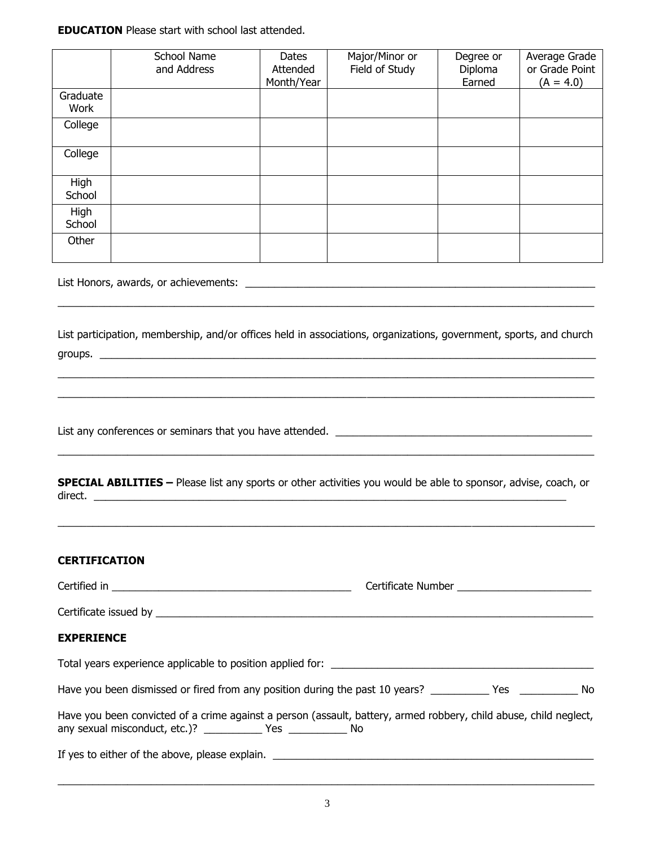**EDUCATION** Please start with school last attended.

|                      | <b>School Name</b><br>and Address                                                                                                                                                         | Dates<br>Attended<br>Month/Year | Major/Minor or<br>Field of Study | Degree or<br>Diploma<br>Earned | Average Grade<br>or Grade Point<br>$(A = 4.0)$ |
|----------------------|-------------------------------------------------------------------------------------------------------------------------------------------------------------------------------------------|---------------------------------|----------------------------------|--------------------------------|------------------------------------------------|
| Graduate<br>Work     |                                                                                                                                                                                           |                                 |                                  |                                |                                                |
| College              |                                                                                                                                                                                           |                                 |                                  |                                |                                                |
| College              |                                                                                                                                                                                           |                                 |                                  |                                |                                                |
| High<br>School       |                                                                                                                                                                                           |                                 |                                  |                                |                                                |
| High<br>School       |                                                                                                                                                                                           |                                 |                                  |                                |                                                |
| Other                |                                                                                                                                                                                           |                                 |                                  |                                |                                                |
|                      |                                                                                                                                                                                           |                                 |                                  |                                |                                                |
|                      |                                                                                                                                                                                           |                                 |                                  |                                |                                                |
| direct.              | <b>SPECIAL ABILITIES</b> - Please list any sports or other activities you would be able to sponsor, advise, coach, or                                                                     |                                 |                                  |                                |                                                |
| <b>CERTIFICATION</b> |                                                                                                                                                                                           |                                 |                                  |                                |                                                |
|                      |                                                                                                                                                                                           |                                 |                                  |                                |                                                |
|                      |                                                                                                                                                                                           |                                 |                                  |                                |                                                |
| <b>EXPERIENCE</b>    |                                                                                                                                                                                           |                                 |                                  |                                |                                                |
|                      |                                                                                                                                                                                           |                                 |                                  |                                |                                                |
|                      | Have you been dismissed or fired from any position during the past 10 years? ___________ Yes ____________ No                                                                              |                                 |                                  |                                |                                                |
|                      | Have you been convicted of a crime against a person (assault, battery, armed robbery, child abuse, child neglect,<br>any sexual misconduct, etc.)? _______________ Yes _______________ No |                                 |                                  |                                |                                                |
|                      |                                                                                                                                                                                           |                                 |                                  |                                |                                                |

 $\_$  , and the state of the state of the state of the state of the state of the state of the state of the state of the state of the state of the state of the state of the state of the state of the state of the state of the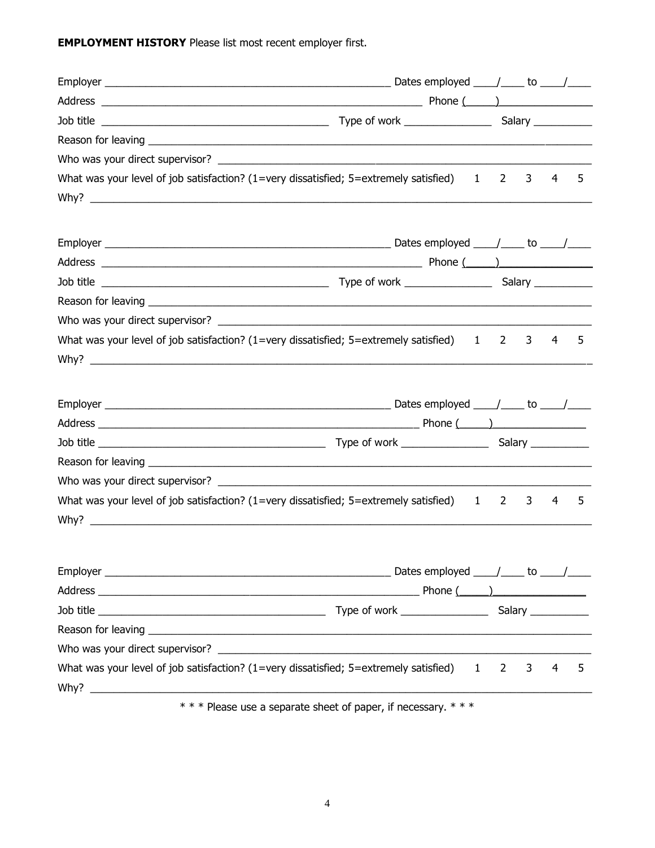**EMPLOYMENT HISTORY** Please list most recent employer first.

| What was your level of job satisfaction? $(1=$ very dissatisfied; $5=$ extremely satisfied) $1 2 3$                                                                                                                                  |                |   | 4 | 5 |
|--------------------------------------------------------------------------------------------------------------------------------------------------------------------------------------------------------------------------------------|----------------|---|---|---|
|                                                                                                                                                                                                                                      |                |   |   |   |
|                                                                                                                                                                                                                                      |                |   |   |   |
|                                                                                                                                                                                                                                      |                |   |   |   |
|                                                                                                                                                                                                                                      |                |   |   |   |
|                                                                                                                                                                                                                                      |                |   |   |   |
|                                                                                                                                                                                                                                      |                |   |   |   |
| What was your level of job satisfaction? (1=very dissatisfied; $5 =$ extremely satisfied) 1 2                                                                                                                                        |                | 3 | 4 | 5 |
|                                                                                                                                                                                                                                      |                |   |   |   |
|                                                                                                                                                                                                                                      |                |   |   |   |
|                                                                                                                                                                                                                                      |                |   |   |   |
|                                                                                                                                                                                                                                      |                |   |   |   |
| Reason for leaving <b>example and the contract of the contract of the contract of the contract of the contract of the contract of the contract of the contract of the contract of the contract of the contract of the contract o</b> |                |   |   |   |
|                                                                                                                                                                                                                                      |                |   |   |   |
| What was your level of job satisfaction? $(1=$ very dissatisfied; $5=$ extremely satisfied) $1 \ 2 \ 3$                                                                                                                              |                |   | 4 | 5 |
|                                                                                                                                                                                                                                      |                |   |   |   |
|                                                                                                                                                                                                                                      |                |   |   |   |
|                                                                                                                                                                                                                                      |                |   |   |   |
|                                                                                                                                                                                                                                      |                |   |   |   |
|                                                                                                                                                                                                                                      |                |   |   |   |
| What was your level of job satisfaction? (1=very dissatisfied; 5=extremely satisfied) 1                                                                                                                                              | $\overline{2}$ | 3 | 4 | 5 |
| *** Please use a separate sheet of paper, if necessary. ***                                                                                                                                                                          |                |   |   |   |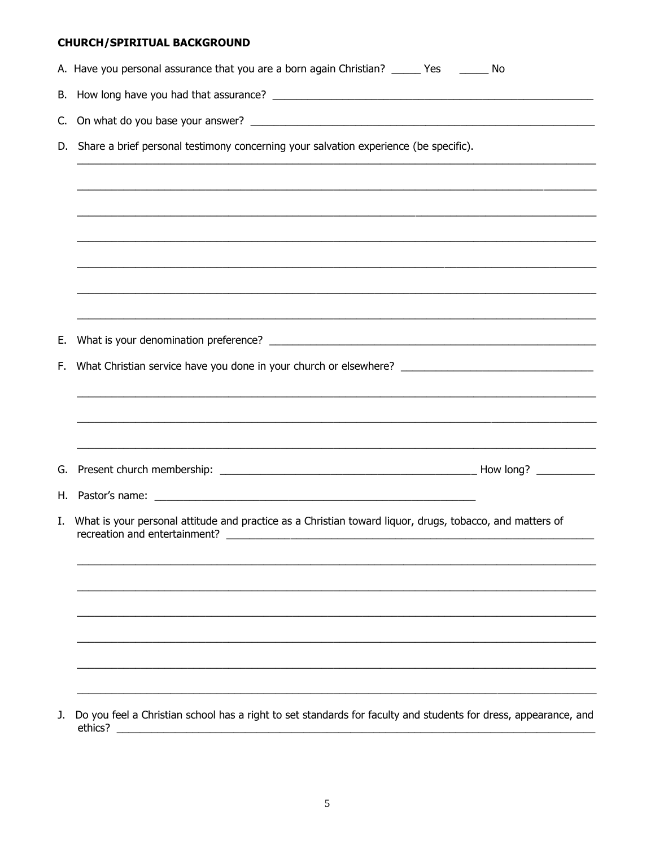# **CHURCH/SPIRITUAL BACKGROUND**

|     | A. Have you personal assurance that you are a born again Christian? _____ Yes ______ No                                                                                                                                                              |  |  |  |
|-----|------------------------------------------------------------------------------------------------------------------------------------------------------------------------------------------------------------------------------------------------------|--|--|--|
|     |                                                                                                                                                                                                                                                      |  |  |  |
| C.  |                                                                                                                                                                                                                                                      |  |  |  |
|     | D. Share a brief personal testimony concerning your salvation experience (be specific).                                                                                                                                                              |  |  |  |
|     |                                                                                                                                                                                                                                                      |  |  |  |
|     |                                                                                                                                                                                                                                                      |  |  |  |
|     |                                                                                                                                                                                                                                                      |  |  |  |
|     |                                                                                                                                                                                                                                                      |  |  |  |
|     |                                                                                                                                                                                                                                                      |  |  |  |
|     |                                                                                                                                                                                                                                                      |  |  |  |
| Е.  |                                                                                                                                                                                                                                                      |  |  |  |
| F., |                                                                                                                                                                                                                                                      |  |  |  |
|     |                                                                                                                                                                                                                                                      |  |  |  |
|     |                                                                                                                                                                                                                                                      |  |  |  |
|     |                                                                                                                                                                                                                                                      |  |  |  |
| G.  |                                                                                                                                                                                                                                                      |  |  |  |
|     |                                                                                                                                                                                                                                                      |  |  |  |
|     | I. What is your personal attitude and practice as a Christian toward liquor, drugs, tobacco, and matters of<br>recreation and entertainment?                                                                                                         |  |  |  |
|     |                                                                                                                                                                                                                                                      |  |  |  |
|     |                                                                                                                                                                                                                                                      |  |  |  |
|     |                                                                                                                                                                                                                                                      |  |  |  |
|     |                                                                                                                                                                                                                                                      |  |  |  |
|     |                                                                                                                                                                                                                                                      |  |  |  |
|     |                                                                                                                                                                                                                                                      |  |  |  |
| J.  | Do you feel a Christian school has a right to set standards for faculty and students for dress, appearance, and<br>ethics?<br><u> 1989 - Johann Barn, mars ann an t-Amhain ann an t-Amhain an t-Amhain an t-Amhain an t-Amhain an t-Amhain an t-</u> |  |  |  |

 $\overline{5}$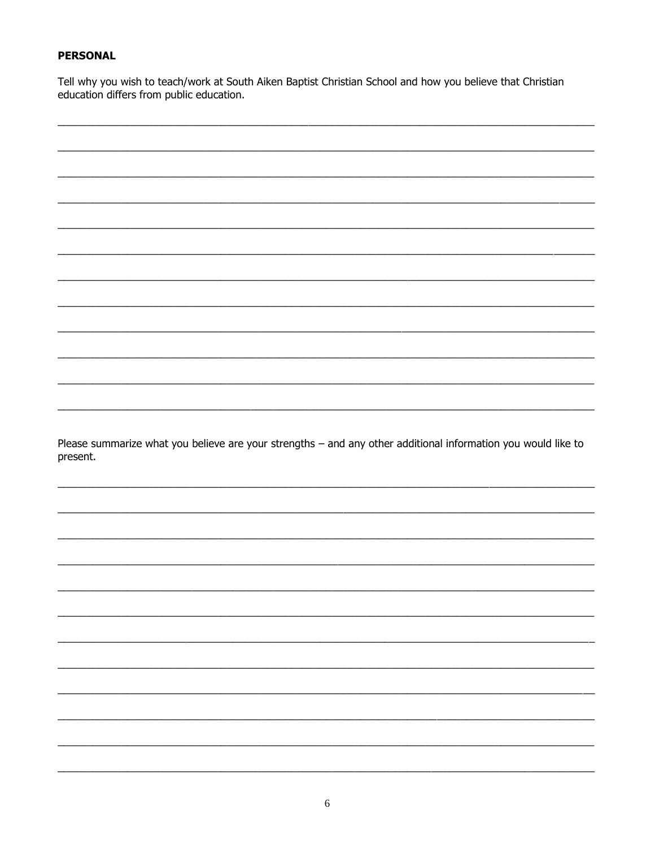## **PERSONAL**

Tell why you wish to teach/work at South Aiken Baptist Christian School and how you believe that Christian education differs from public education.

Please summarize what you believe are your strengths - and any other additional information you would like to present.